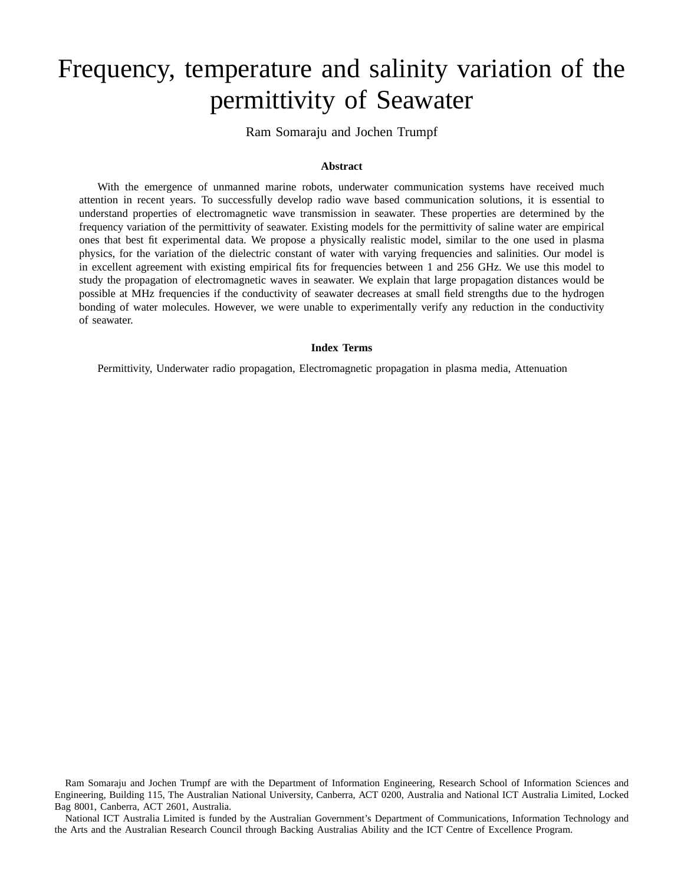# Frequency, temperature and salinity variation of the permittivity of Seawater

Ram Somaraju and Jochen Trumpf

## **Abstract**

With the emergence of unmanned marine robots, underwater communication systems have received much attention in recent years. To successfully develop radio wave based communication solutions, it is essential to understand properties of electromagnetic wave transmission in seawater. These properties are determined by the frequency variation of the permittivity of seawater. Existing models for the permittivity of saline water are empirical ones that best fit experimental data. We propose a physically realistic model, similar to the one used in plasma physics, for the variation of the dielectric constant of water with varying frequencies and salinities. Our model is in excellent agreement with existing empirical fits for frequencies between 1 and 256 GHz. We use this model to study the propagation of electromagnetic waves in seawater. We explain that large propagation distances would be possible at MHz frequencies if the conductivity of seawater decreases at small field strengths due to the hydrogen bonding of water molecules. However, we were unable to experimentally verify any reduction in the conductivity of seawater.

#### **Index Terms**

Permittivity, Underwater radio propagation, Electromagnetic propagation in plasma media, Attenuation

Ram Somaraju and Jochen Trumpf are with the Department of Information Engineering, Research School of Information Sciences and Engineering, Building 115, The Australian National University, Canberra, ACT 0200, Australia and National ICT Australia Limited, Locked Bag 8001, Canberra, ACT 2601, Australia.

National ICT Australia Limited is funded by the Australian Government's Department of Communications, Information Technology and the Arts and the Australian Research Council through Backing Australias Ability and the ICT Centre of Excellence Program.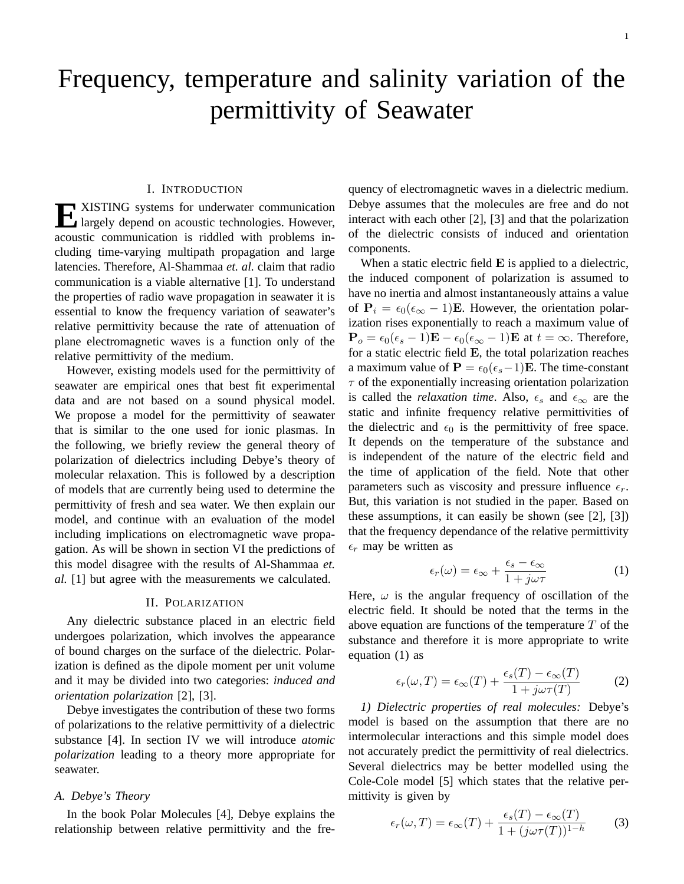# Frequency, temperature and salinity variation of the permittivity of Seawater

## I. INTRODUCTION

**EXISTING** systems for underwater communication<br>largely depend on acoustic technologies. However, largely depend on acoustic technologies. However, acoustic communication is riddled with problems including time-varying multipath propagation and large latencies. Therefore, Al-Shammaa *et. al.* claim that radio communication is a viable alternative [1]. To understand the properties of radio wave propagation in seawater it is essential to know the frequency variation of seawater's relative permittivity because the rate of attenuation of plane electromagnetic waves is a function only of the relative permittivity of the medium.

However, existing models used for the permittivity of seawater are empirical ones that best fit experimental data and are not based on a sound physical model. We propose a model for the permittivity of seawater that is similar to the one used for ionic plasmas. In the following, we briefly review the general theory of polarization of dielectrics including Debye's theory of molecular relaxation. This is followed by a description of models that are currently being used to determine the permittivity of fresh and sea water. We then explain our model, and continue with an evaluation of the model including implications on electromagnetic wave propagation. As will be shown in section VI the predictions of this model disagree with the results of Al-Shammaa *et. al.* [1] but agree with the measurements we calculated.

#### II. POLARIZATION

Any dielectric substance placed in an electric field undergoes polarization, which involves the appearance of bound charges on the surface of the dielectric. Polarization is defined as the dipole moment per unit volume and it may be divided into two categories: *induced and orientation polarization* [2], [3].

Debye investigates the contribution of these two forms of polarizations to the relative permittivity of a dielectric substance [4]. In section IV we will introduce *atomic polarization* leading to a theory more appropriate for seawater.

#### *A. Debye's Theory*

In the book Polar Molecules [4], Debye explains the relationship between relative permittivity and the frequency of electromagnetic waves in a dielectric medium. Debye assumes that the molecules are free and do not interact with each other [2], [3] and that the polarization of the dielectric consists of induced and orientation components.

When a static electric field **E** is applied to a dielectric, the induced component of polarization is assumed to have no inertia and almost instantaneously attains a value of  $P_i = \epsilon_0(\epsilon_\infty - 1)E$ . However, the orientation polarization rises exponentially to reach a maximum value of  ${\bf P}_o = \epsilon_0(\epsilon_s - 1){\bf E} - \epsilon_0(\epsilon_\infty - 1){\bf E}$  at  $t = \infty$ . Therefore, for a static electric field E, the total polarization reaches a maximum value of  $\mathbf{P} = \epsilon_0(\epsilon_s-1)\mathbf{E}$ . The time-constant  $\tau$  of the exponentially increasing orientation polarization is called the *relaxation time*. Also,  $\epsilon_s$  and  $\epsilon_\infty$  are the static and infinite frequency relative permittivities of the dielectric and  $\epsilon_0$  is the permittivity of free space. It depends on the temperature of the substance and is independent of the nature of the electric field and the time of application of the field. Note that other parameters such as viscosity and pressure influence  $\epsilon_r$ . But, this variation is not studied in the paper. Based on these assumptions, it can easily be shown (see [2], [3]) that the frequency dependance of the relative permittivity  $\epsilon_r$  may be written as

$$
\epsilon_r(\omega) = \epsilon_\infty + \frac{\epsilon_s - \epsilon_\infty}{1 + j\omega\tau}
$$
 (1)

Here,  $\omega$  is the angular frequency of oscillation of the electric field. It should be noted that the terms in the above equation are functions of the temperature  $T$  of the substance and therefore it is more appropriate to write equation (1) as

$$
\epsilon_r(\omega, T) = \epsilon_\infty(T) + \frac{\epsilon_s(T) - \epsilon_\infty(T)}{1 + j\omega \tau(T)} \tag{2}
$$

*1) Dielectric properties of real molecules:* Debye's model is based on the assumption that there are no intermolecular interactions and this simple model does not accurately predict the permittivity of real dielectrics. Several dielectrics may be better modelled using the Cole-Cole model [5] which states that the relative permittivity is given by

$$
\epsilon_r(\omega, T) = \epsilon_\infty(T) + \frac{\epsilon_s(T) - \epsilon_\infty(T)}{1 + (j\omega\tau(T))^{1-h}} \tag{3}
$$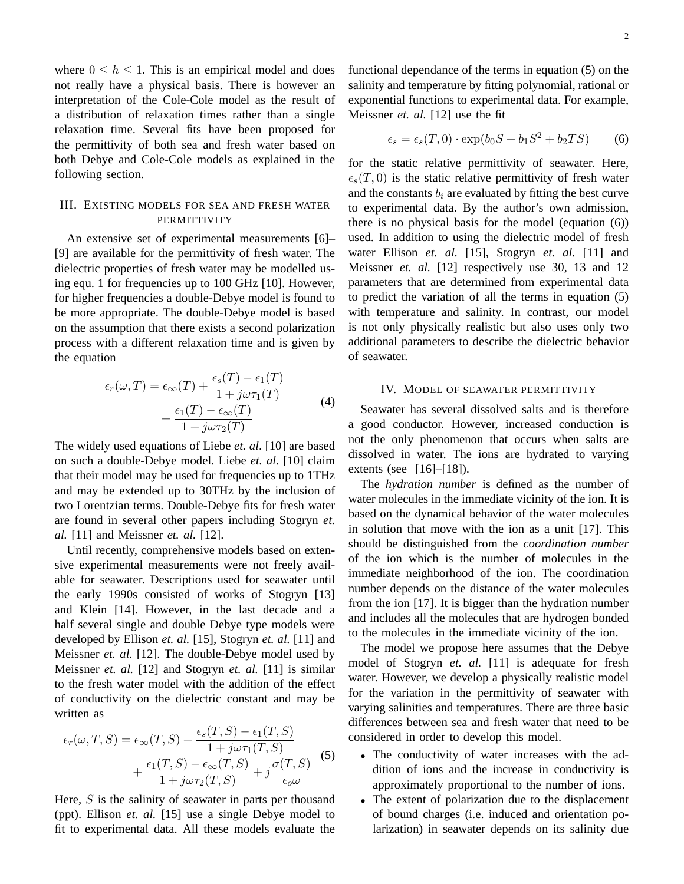where  $0 \leq h \leq 1$ . This is an empirical model and does not really have a physical basis. There is however an interpretation of the Cole-Cole model as the result of a distribution of relaxation times rather than a single relaxation time. Several fits have been proposed for the permittivity of both sea and fresh water based on both Debye and Cole-Cole models as explained in the following section.

# III. EXISTING MODELS FOR SEA AND FRESH WATER **PERMITTIVITY**

An extensive set of experimental measurements [6]– [9] are available for the permittivity of fresh water. The dielectric properties of fresh water may be modelled using equ. 1 for frequencies up to 100 GHz [10]. However, for higher frequencies a double-Debye model is found to be more appropriate. The double-Debye model is based on the assumption that there exists a second polarization process with a different relaxation time and is given by the equation

$$
\epsilon_r(\omega, T) = \epsilon_\infty(T) + \frac{\epsilon_s(T) - \epsilon_1(T)}{1 + j\omega\tau_1(T)}
$$
  
+ 
$$
\frac{\epsilon_1(T) - \epsilon_\infty(T)}{1 + j\omega\tau_2(T)}
$$
(4)

The widely used equations of Liebe *et. al*. [10] are based on such a double-Debye model. Liebe *et. al*. [10] claim that their model may be used for frequencies up to 1THz and may be extended up to 30THz by the inclusion of two Lorentzian terms. Double-Debye fits for fresh water are found in several other papers including Stogryn *et. al.* [11] and Meissner *et. al.* [12].

Until recently, comprehensive models based on extensive experimental measurements were not freely available for seawater. Descriptions used for seawater until the early 1990s consisted of works of Stogryn [13] and Klein [14]. However, in the last decade and a half several single and double Debye type models were developed by Ellison *et. al.* [15], Stogryn *et. al.* [11] and Meissner *et. al.* [12]. The double-Debye model used by Meissner *et. al.* [12] and Stogryn *et. al.* [11] is similar to the fresh water model with the addition of the effect of conductivity on the dielectric constant and may be written as

$$
\epsilon_r(\omega, T, S) = \epsilon_\infty(T, S) + \frac{\epsilon_s(T, S) - \epsilon_1(T, S)}{1 + j\omega\tau_1(T, S)}
$$

$$
+ \frac{\epsilon_1(T, S) - \epsilon_\infty(T, S)}{1 + j\omega\tau_2(T, S)} + j\frac{\sigma(T, S)}{\epsilon_\omega} \tag{5}
$$

Here,  $S$  is the salinity of seawater in parts per thousand (ppt). Ellison *et. al.* [15] use a single Debye model to fit to experimental data. All these models evaluate the

functional dependance of the terms in equation (5) on the salinity and temperature by fitting polynomial, rational or exponential functions to experimental data. For example, Meissner *et. al.* [12] use the fit

$$
\epsilon_s = \epsilon_s(T, 0) \cdot \exp(b_0 S + b_1 S^2 + b_2 TS) \tag{6}
$$

for the static relative permittivity of seawater. Here,  $\epsilon_s(T, 0)$  is the static relative permittivity of fresh water and the constants  $b_i$  are evaluated by fitting the best curve to experimental data. By the author's own admission, there is no physical basis for the model (equation (6)) used. In addition to using the dielectric model of fresh water Ellison *et. al.* [15], Stogryn *et. al.* [11] and Meissner *et. al.* [12] respectively use 30, 13 and 12 parameters that are determined from experimental data to predict the variation of all the terms in equation (5) with temperature and salinity. In contrast, our model is not only physically realistic but also uses only two additional parameters to describe the dielectric behavior of seawater.

### IV. MODEL OF SEAWATER PERMITTIVITY

Seawater has several dissolved salts and is therefore a good conductor. However, increased conduction is not the only phenomenon that occurs when salts are dissolved in water. The ions are hydrated to varying extents (see [16]–[18]).

The *hydration number* is defined as the number of water molecules in the immediate vicinity of the ion. It is based on the dynamical behavior of the water molecules in solution that move with the ion as a unit [17]. This should be distinguished from the *coordination number* of the ion which is the number of molecules in the immediate neighborhood of the ion. The coordination number depends on the distance of the water molecules from the ion [17]. It is bigger than the hydration number and includes all the molecules that are hydrogen bonded to the molecules in the immediate vicinity of the ion.

The model we propose here assumes that the Debye model of Stogryn *et. al.* [11] is adequate for fresh water. However, we develop a physically realistic model for the variation in the permittivity of seawater with varying salinities and temperatures. There are three basic differences between sea and fresh water that need to be considered in order to develop this model.

- The conductivity of water increases with the addition of ions and the increase in conductivity is approximately proportional to the number of ions.
- The extent of polarization due to the displacement of bound charges (i.e. induced and orientation polarization) in seawater depends on its salinity due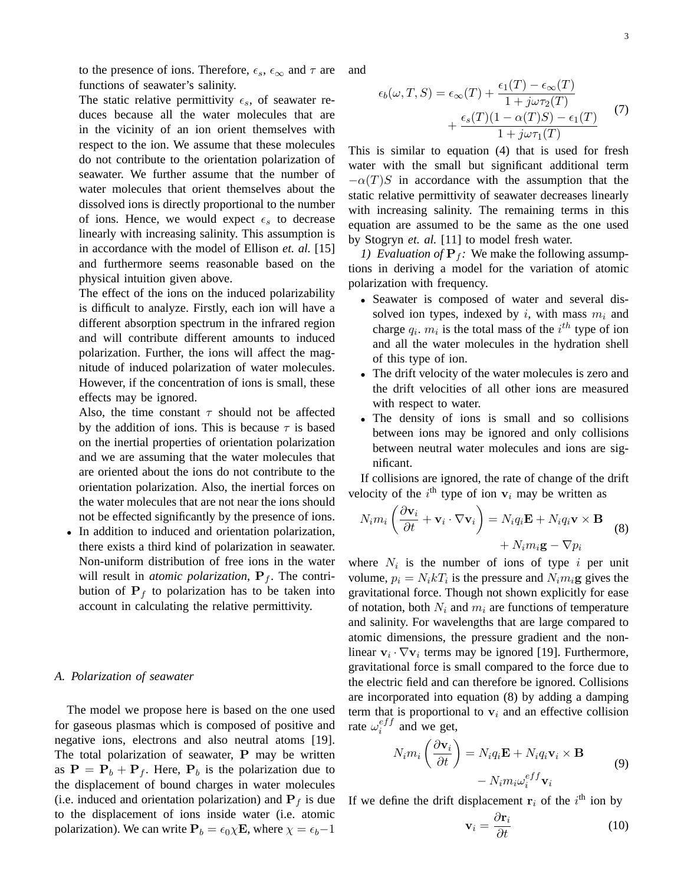to the presence of ions. Therefore,  $\epsilon_s$ ,  $\epsilon_\infty$  and  $\tau$  are functions of seawater's salinity.

The static relative permittivity  $\epsilon_s$ , of seawater reduces because all the water molecules that are in the vicinity of an ion orient themselves with respect to the ion. We assume that these molecules do not contribute to the orientation polarization of seawater. We further assume that the number of water molecules that orient themselves about the dissolved ions is directly proportional to the number of ions. Hence, we would expect  $\epsilon_s$  to decrease linearly with increasing salinity. This assumption is in accordance with the model of Ellison *et. al.* [15] and furthermore seems reasonable based on the physical intuition given above.

The effect of the ions on the induced polarizability is difficult to analyze. Firstly, each ion will have a different absorption spectrum in the infrared region and will contribute different amounts to induced polarization. Further, the ions will affect the magnitude of induced polarization of water molecules. However, if the concentration of ions is small, these effects may be ignored.

Also, the time constant  $\tau$  should not be affected by the addition of ions. This is because  $\tau$  is based on the inertial properties of orientation polarization and we are assuming that the water molecules that are oriented about the ions do not contribute to the orientation polarization. Also, the inertial forces on the water molecules that are not near the ions should not be effected significantly by the presence of ions.

• In addition to induced and orientation polarization, there exists a third kind of polarization in seawater. Non-uniform distribution of free ions in the water will result in *atomic polarization*,  $P_f$ . The contribution of  $P_f$  to polarization has to be taken into account in calculating the relative permittivity.

### *A. Polarization of seawater*

The model we propose here is based on the one used for gaseous plasmas which is composed of positive and negative ions, electrons and also neutral atoms [19]. The total polarization of seawater, P may be written as  $P = P_b + P_f$ . Here,  $P_b$  is the polarization due to the displacement of bound charges in water molecules (i.e. induced and orientation polarization) and  $P_f$  is due to the displacement of ions inside water (i.e. atomic polarization). We can write  $P_b = \epsilon_0 \chi E$ , where  $\chi = \epsilon_b - 1$  and

$$
\epsilon_b(\omega, T, S) = \epsilon_{\infty}(T) + \frac{\epsilon_1(T) - \epsilon_{\infty}(T)}{1 + j\omega\tau_2(T)} + \frac{\epsilon_s(T)(1 - \alpha(T)S) - \epsilon_1(T)}{1 + j\omega\tau_1(T)}
$$
(7)

This is similar to equation (4) that is used for fresh water with the small but significant additional term  $-\alpha(T)S$  in accordance with the assumption that the static relative permittivity of seawater decreases linearly with increasing salinity. The remaining terms in this equation are assumed to be the same as the one used by Stogryn *et. al.* [11] to model fresh water.

*1) Evaluation of*  $P_f$ : We make the following assumptions in deriving a model for the variation of atomic polarization with frequency.

- Seawater is composed of water and several dissolved ion types, indexed by i, with mass  $m_i$  and charge  $q_i$ .  $m_i$  is the total mass of the  $i^{th}$  type of ion and all the water molecules in the hydration shell of this type of ion.
- The drift velocity of the water molecules is zero and the drift velocities of all other ions are measured with respect to water.
- The density of ions is small and so collisions between ions may be ignored and only collisions between neutral water molecules and ions are significant.

If collisions are ignored, the rate of change of the drift velocity of the  $i^{\text{th}}$  type of ion  $v_i$  may be written as

$$
N_i m_i \left( \frac{\partial \mathbf{v}_i}{\partial t} + \mathbf{v}_i \cdot \nabla \mathbf{v}_i \right) = N_i q_i \mathbf{E} + N_i q_i \mathbf{v} \times \mathbf{B} + N_i m_i \mathbf{g} - \nabla p_i
$$
 (8)

where  $N_i$  is the number of ions of type i per unit volume,  $p_i = N_i k_i$  is the pressure and  $N_i m_i$ **g** gives the gravitational force. Though not shown explicitly for ease of notation, both  $N_i$  and  $m_i$  are functions of temperature and salinity. For wavelengths that are large compared to atomic dimensions, the pressure gradient and the nonlinear  $v_i \cdot \nabla v_i$  terms may be ignored [19]. Furthermore, gravitational force is small compared to the force due to the electric field and can therefore be ignored. Collisions are incorporated into equation (8) by adding a damping term that is proportional to  $v_i$  and an effective collision rate  $\omega_i^{eff}$  $i^{eJJ}$  and we get,

$$
N_i m_i \left(\frac{\partial \mathbf{v}_i}{\partial t}\right) = N_i q_i \mathbf{E} + N_i q_i \mathbf{v}_i \times \mathbf{B}
$$
  
- 
$$
N_i m_i \omega_i^{eff} \mathbf{v}_i
$$
 (9)

If we define the drift displacement  $r_i$  of the  $i<sup>th</sup>$  ion by

$$
\mathbf{v}_i = \frac{\partial \mathbf{r}_i}{\partial t} \tag{10}
$$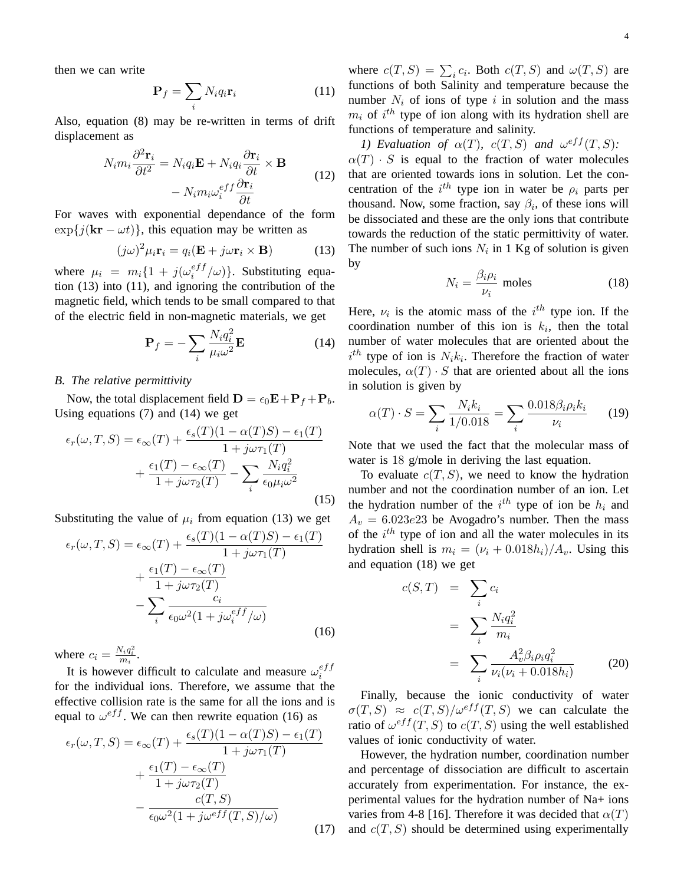then we can write

$$
\mathbf{P}_f = \sum_i N_i q_i \mathbf{r}_i \tag{11}
$$

Also, equation (8) may be re-written in terms of drift displacement as

$$
N_i m_i \frac{\partial^2 \mathbf{r}_i}{\partial t^2} = N_i q_i \mathbf{E} + N_i q_i \frac{\partial \mathbf{r}_i}{\partial t} \times \mathbf{B}
$$

$$
- N_i m_i \omega_i^{eff} \frac{\partial \mathbf{r}_i}{\partial t}
$$
(12)

For waves with exponential dependance of the form  $\exp\{j(\mathbf{kr} - \omega t)\}\$ , this equation may be written as

$$
(j\omega)^2 \mu_i \mathbf{r}_i = q_i (\mathbf{E} + j\omega \mathbf{r}_i \times \mathbf{B}) \tag{13}
$$

where  $\mu_i = m_i \{1 + j(\omega_i^{eff})\}$  $\binom{e}{i}$  $\langle \omega \rangle$ }. Substituting equation (13) into (11), and ignoring the contribution of the magnetic field, which tends to be small compared to that of the electric field in non-magnetic materials, we get

$$
\mathbf{P}_f = -\sum_i \frac{N_i q_i^2}{\mu_i \omega^2} \mathbf{E}
$$
 (14)

#### *B. The relative permittivity*

Now, the total displacement field  $\mathbf{D} = \epsilon_0 \mathbf{E} + \mathbf{P}_f + \mathbf{P}_b$ . Using equations (7) and (14) we get

$$
\epsilon_r(\omega, T, S) = \epsilon_\infty(T) + \frac{\epsilon_s(T)(1 - \alpha(T)S) - \epsilon_1(T)}{1 + j\omega\tau_1(T)}
$$

$$
+ \frac{\epsilon_1(T) - \epsilon_\infty(T)}{1 + j\omega\tau_2(T)} - \sum_i \frac{N_i q_i^2}{\epsilon_0 \mu_i \omega^2}
$$
(15)

Substituting the value of  $\mu_i$  from equation (13) we get

$$
\epsilon_r(\omega, T, S) = \epsilon_{\infty}(T) + \frac{\epsilon_s(T)(1 - \alpha(T)S) - \epsilon_1(T)}{1 + j\omega\tau_1(T)}
$$

$$
+ \frac{\epsilon_1(T) - \epsilon_{\infty}(T)}{1 + j\omega\tau_2(T)}
$$

$$
- \sum_i \frac{c_i}{\epsilon_0 \omega^2 (1 + j\omega_i^{eff}/\omega)}
$$
(16)

where  $c_i = \frac{N_i q_i^2}{m_i}$ .

It is however difficult to calculate and measure  $\omega_i^{eff}$ i for the individual ions. Therefore, we assume that the effective collision rate is the same for all the ions and is equal to  $\omega^{eff}$ . We can then rewrite equation (16) as

$$
\epsilon_r(\omega, T, S) = \epsilon_{\infty}(T) + \frac{\epsilon_s(T)(1 - \alpha(T)S) - \epsilon_1(T)}{1 + j\omega\tau_1(T)}
$$

$$
+ \frac{\epsilon_1(T) - \epsilon_{\infty}(T)}{1 + j\omega\tau_2(T)}
$$

$$
- \frac{c(T, S)}{\epsilon_0 \omega^2 (1 + j\omega^{eff}(T, S)/\omega)}
$$
(17)

where  $c(T, S) = \sum_i c_i$ . Both  $c(T, S)$  and  $\omega(T, S)$  are functions of both Salinity and temperature because the number  $N_i$  of ions of type i in solution and the mass  $m_i$  of  $i^{th}$  type of ion along with its hydration shell are functions of temperature and salinity.

*1)* Evaluation of  $\alpha(T)$ ,  $c(T, S)$  and  $\omega^{eff}(T, S)$ :  $\alpha(T) \cdot S$  is equal to the fraction of water molecules that are oriented towards ions in solution. Let the concentration of the  $i^{th}$  type ion in water be  $\rho_i$  parts per thousand. Now, some fraction, say  $\beta_i$ , of these ions will be dissociated and these are the only ions that contribute towards the reduction of the static permittivity of water. The number of such ions  $N_i$  in 1 Kg of solution is given by

$$
N_i = \frac{\beta_i \rho_i}{\nu_i} \text{ moles} \tag{18}
$$

Here,  $\nu_i$  is the atomic mass of the  $i^{th}$  type ion. If the coordination number of this ion is  $k_i$ , then the total number of water molecules that are oriented about the  $i^{th}$  type of ion is  $N_i k_i$ . Therefore the fraction of water molecules,  $\alpha(T) \cdot S$  that are oriented about all the ions in solution is given by

$$
\alpha(T) \cdot S = \sum_{i} \frac{N_i k_i}{1/0.018} = \sum_{i} \frac{0.018 \beta_i \rho_i k_i}{\nu_i} \qquad (19)
$$

Note that we used the fact that the molecular mass of water is 18 g/mole in deriving the last equation.

To evaluate  $c(T, S)$ , we need to know the hydration number and not the coordination number of an ion. Let the hydration number of the  $i^{th}$  type of ion be  $h_i$  and  $A_v = 6.023e23$  be Avogadro's number. Then the mass of the  $i<sup>th</sup>$  type of ion and all the water molecules in its hydration shell is  $m_i = (\nu_i + 0.018h_i)/A_v$ . Using this and equation (18) we get

$$
c(S,T) = \sum_{i} c_i
$$
  
= 
$$
\sum_{i} \frac{N_i q_i^2}{m_i}
$$
  
= 
$$
\sum_{i} \frac{A_v^2 \beta_i \rho_i q_i^2}{\nu_i (\nu_i + 0.018 h_i)}
$$
 (20)

Finally, because the ionic conductivity of water  $\sigma(T, S) \approx c(T, S)/\omega^{eff}(T, S)$  we can calculate the ratio of  $\omega^{eff}(T, S)$  to  $c(T, S)$  using the well established values of ionic conductivity of water.

However, the hydration number, coordination number and percentage of dissociation are difficult to ascertain accurately from experimentation. For instance, the experimental values for the hydration number of Na+ ions varies from 4-8 [16]. Therefore it was decided that  $\alpha(T)$ and  $c(T, S)$  should be determined using experimentally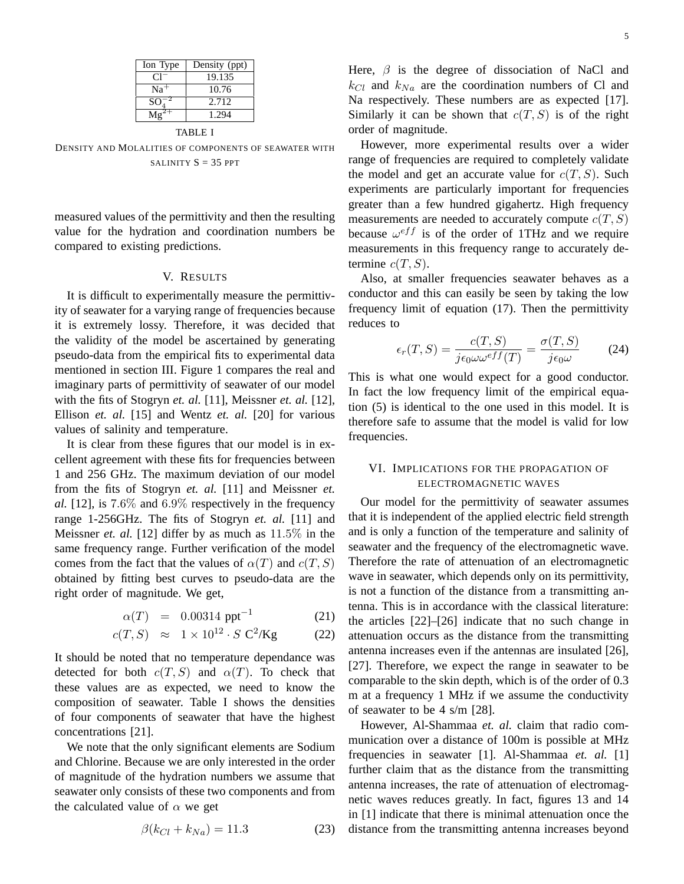| Ion Type | Density (ppt) |
|----------|---------------|
| C T      | 19.135        |
| $Na+$    | 10.76         |
| $SO_4^-$ | 2.712         |
|          | 1.294         |

TABLE I

DENSITY AND MOLALITIES OF COMPONENTS OF SEAWATER WITH SALINITY  $S = 35$  PPT

measured values of the permittivity and then the resulting value for the hydration and coordination numbers be compared to existing predictions.

## V. RESULTS

It is difficult to experimentally measure the permittivity of seawater for a varying range of frequencies because it is extremely lossy. Therefore, it was decided that the validity of the model be ascertained by generating pseudo-data from the empirical fits to experimental data mentioned in section III. Figure 1 compares the real and imaginary parts of permittivity of seawater of our model with the fits of Stogryn *et. al.* [11], Meissner *et. al.* [12], Ellison *et. al.* [15] and Wentz *et. al.* [20] for various values of salinity and temperature.

It is clear from these figures that our model is in excellent agreement with these fits for frequencies between 1 and 256 GHz. The maximum deviation of our model from the fits of Stogryn *et. al.* [11] and Meissner *et. al.* [12], is 7.6% and 6.9% respectively in the frequency range 1-256GHz. The fits of Stogryn *et. al.* [11] and Meissner *et. al.* [12] differ by as much as 11.5% in the same frequency range. Further verification of the model comes from the fact that the values of  $\alpha(T)$  and  $c(T, S)$ obtained by fitting best curves to pseudo-data are the right order of magnitude. We get,

$$
\alpha(T) = 0.00314 \text{ ppt}^{-1} \tag{21}
$$

$$
c(T, S) \approx 1 \times 10^{12} \cdot S \, \text{C}^2/\text{Kg} \tag{22}
$$

It should be noted that no temperature dependance was detected for both  $c(T, S)$  and  $\alpha(T)$ . To check that these values are as expected, we need to know the composition of seawater. Table I shows the densities of four components of seawater that have the highest concentrations [21].

We note that the only significant elements are Sodium and Chlorine. Because we are only interested in the order of magnitude of the hydration numbers we assume that seawater only consists of these two components and from the calculated value of  $\alpha$  we get

$$
\beta(k_{Cl} + k_{Na}) = 11.3\tag{23}
$$

Here,  $\beta$  is the degree of dissociation of NaCl and  $k_{Cl}$  and  $k_{Na}$  are the coordination numbers of Cl and Na respectively. These numbers are as expected [17]. Similarly it can be shown that  $c(T, S)$  is of the right order of magnitude.

However, more experimental results over a wider range of frequencies are required to completely validate the model and get an accurate value for  $c(T, S)$ . Such experiments are particularly important for frequencies greater than a few hundred gigahertz. High frequency measurements are needed to accurately compute  $c(T, S)$ because  $\omega^{eff}$  is of the order of 1THz and we require measurements in this frequency range to accurately determine  $c(T, S)$ .

Also, at smaller frequencies seawater behaves as a conductor and this can easily be seen by taking the low frequency limit of equation (17). Then the permittivity reduces to

$$
\epsilon_r(T, S) = \frac{c(T, S)}{j \epsilon_0 \omega \omega^{eff}(T)} = \frac{\sigma(T, S)}{j \epsilon_0 \omega} \tag{24}
$$

This is what one would expect for a good conductor. In fact the low frequency limit of the empirical equation (5) is identical to the one used in this model. It is therefore safe to assume that the model is valid for low frequencies.

## VI. IMPLICATIONS FOR THE PROPAGATION OF ELECTROMAGNETIC WAVES

Our model for the permittivity of seawater assumes that it is independent of the applied electric field strength and is only a function of the temperature and salinity of seawater and the frequency of the electromagnetic wave. Therefore the rate of attenuation of an electromagnetic wave in seawater, which depends only on its permittivity, is not a function of the distance from a transmitting antenna. This is in accordance with the classical literature: the articles [22]–[26] indicate that no such change in attenuation occurs as the distance from the transmitting antenna increases even if the antennas are insulated [26], [27]. Therefore, we expect the range in seawater to be comparable to the skin depth, which is of the order of 0.3 m at a frequency 1 MHz if we assume the conductivity of seawater to be 4 s/m [28].

However, Al-Shammaa *et. al.* claim that radio communication over a distance of 100m is possible at MHz frequencies in seawater [1]. Al-Shammaa *et. al.* [1] further claim that as the distance from the transmitting antenna increases, the rate of attenuation of electromagnetic waves reduces greatly. In fact, figures 13 and 14 in [1] indicate that there is minimal attenuation once the distance from the transmitting antenna increases beyond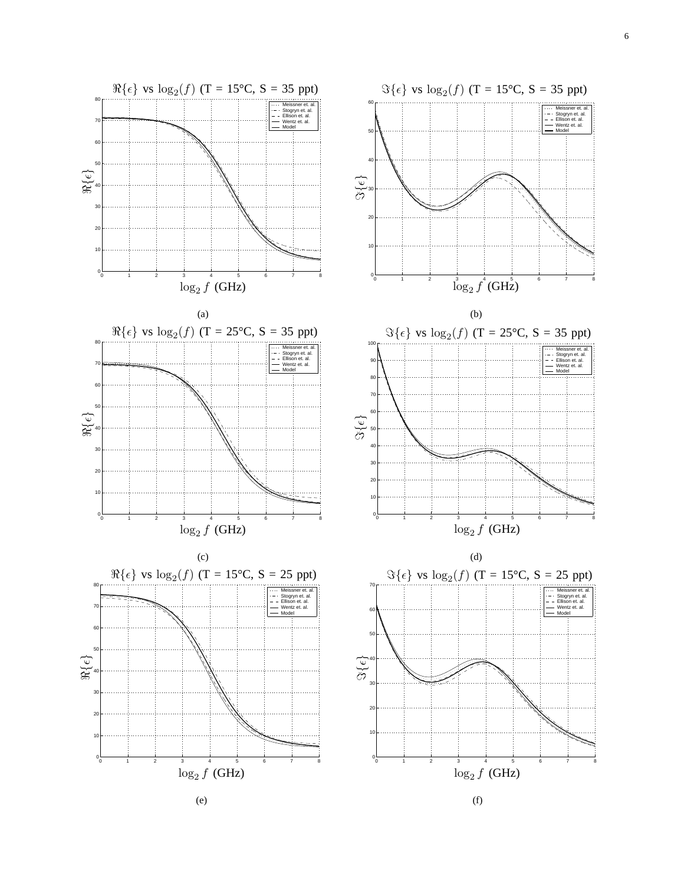

(e)

(f)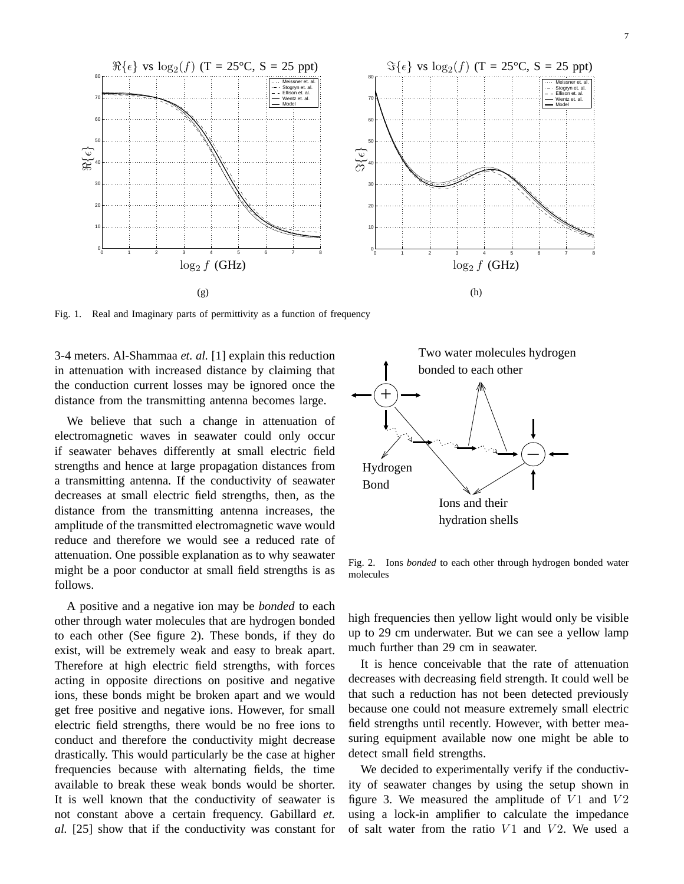

Fig. 1. Real and Imaginary parts of permittivity as a function of frequency

3-4 meters. Al-Shammaa *et. al.* [1] explain this reduction in attenuation with increased distance by claiming that the conduction current losses may be ignored once the distance from the transmitting antenna becomes large.

We believe that such a change in attenuation of electromagnetic waves in seawater could only occur if seawater behaves differently at small electric field strengths and hence at large propagation distances from a transmitting antenna. If the conductivity of seawater decreases at small electric field strengths, then, as the distance from the transmitting antenna increases, the amplitude of the transmitted electromagnetic wave would reduce and therefore we would see a reduced rate of attenuation. One possible explanation as to why seawater might be a poor conductor at small field strengths is as follows.

A positive and a negative ion may be *bonded* to each other through water molecules that are hydrogen bonded to each other (See figure 2). These bonds, if they do exist, will be extremely weak and easy to break apart. Therefore at high electric field strengths, with forces acting in opposite directions on positive and negative ions, these bonds might be broken apart and we would get free positive and negative ions. However, for small electric field strengths, there would be no free ions to conduct and therefore the conductivity might decrease drastically. This would particularly be the case at higher frequencies because with alternating fields, the time available to break these weak bonds would be shorter. It is well known that the conductivity of seawater is not constant above a certain frequency. Gabillard *et. al.* [25] show that if the conductivity was constant for



Fig. 2. Ions *bonded* to each other through hydrogen bonded water molecules

high frequencies then yellow light would only be visible up to 29 cm underwater. But we can see a yellow lamp much further than 29 cm in seawater.

It is hence conceivable that the rate of attenuation decreases with decreasing field strength. It could well be that such a reduction has not been detected previously because one could not measure extremely small electric field strengths until recently. However, with better measuring equipment available now one might be able to detect small field strengths.

We decided to experimentally verify if the conductivity of seawater changes by using the setup shown in figure 3. We measured the amplitude of  $V1$  and  $V2$ using a lock-in amplifier to calculate the impedance of salt water from the ratio  $V1$  and  $V2$ . We used a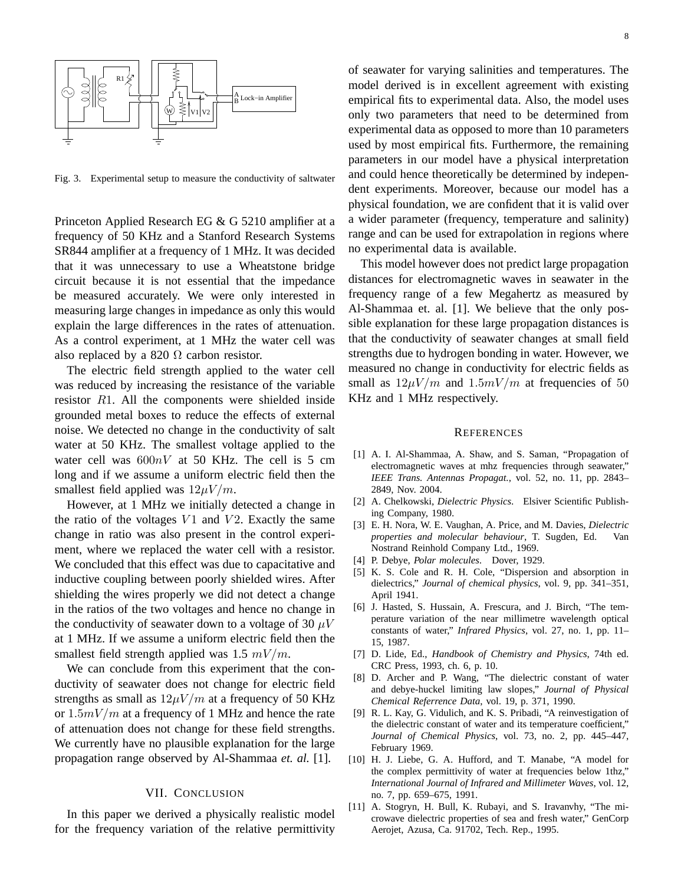

Fig. 3. Experimental setup to measure the conductivity of saltwater

Princeton Applied Research EG & G 5210 amplifier at a frequency of 50 KHz and a Stanford Research Systems SR844 amplifier at a frequency of 1 MHz. It was decided that it was unnecessary to use a Wheatstone bridge circuit because it is not essential that the impedance be measured accurately. We were only interested in measuring large changes in impedance as only this would explain the large differences in the rates of attenuation. As a control experiment, at 1 MHz the water cell was also replaced by a 820  $\Omega$  carbon resistor.

The electric field strength applied to the water cell was reduced by increasing the resistance of the variable resistor R1. All the components were shielded inside grounded metal boxes to reduce the effects of external noise. We detected no change in the conductivity of salt water at 50 KHz. The smallest voltage applied to the water cell was  $600nV$  at 50 KHz. The cell is 5 cm long and if we assume a uniform electric field then the smallest field applied was  $12\mu V/m$ .

However, at 1 MHz we initially detected a change in the ratio of the voltages  $V1$  and  $V2$ . Exactly the same change in ratio was also present in the control experiment, where we replaced the water cell with a resistor. We concluded that this effect was due to capacitative and inductive coupling between poorly shielded wires. After shielding the wires properly we did not detect a change in the ratios of the two voltages and hence no change in the conductivity of seawater down to a voltage of 30  $\mu$ V at 1 MHz. If we assume a uniform electric field then the smallest field strength applied was 1.5  $mV/m$ .

We can conclude from this experiment that the conductivity of seawater does not change for electric field strengths as small as  $12\mu V/m$  at a frequency of 50 KHz or  $1.5mV/m$  at a frequency of 1 MHz and hence the rate of attenuation does not change for these field strengths. We currently have no plausible explanation for the large propagation range observed by Al-Shammaa *et. al.* [1].

## VII. CONCLUSION

In this paper we derived a physically realistic model for the frequency variation of the relative permittivity of seawater for varying salinities and temperatures. The model derived is in excellent agreement with existing empirical fits to experimental data. Also, the model uses only two parameters that need to be determined from experimental data as opposed to more than 10 parameters used by most empirical fits. Furthermore, the remaining parameters in our model have a physical interpretation and could hence theoretically be determined by independent experiments. Moreover, because our model has a physical foundation, we are confident that it is valid over a wider parameter (frequency, temperature and salinity) range and can be used for extrapolation in regions where no experimental data is available.

This model however does not predict large propagation distances for electromagnetic waves in seawater in the frequency range of a few Megahertz as measured by Al-Shammaa et. al. [1]. We believe that the only possible explanation for these large propagation distances is that the conductivity of seawater changes at small field strengths due to hydrogen bonding in water. However, we measured no change in conductivity for electric fields as small as  $12\mu V/m$  and  $1.5mV/m$  at frequencies of 50 KHz and 1 MHz respectively.

#### **REFERENCES**

- [1] A. I. Al-Shammaa, A. Shaw, and S. Saman, "Propagation of electromagnetic waves at mhz frequencies through seawater," *IEEE Trans. Antennas Propagat.*, vol. 52, no. 11, pp. 2843– 2849, Nov. 2004.
- [2] A. Chelkowski, *Dielectric Physics*. Elsiver Scientific Publishing Company, 1980.
- [3] E. H. Nora, W. E. Vaughan, A. Price, and M. Davies, *Dielectric properties and molecular behaviour*, T. Sugden, Ed. Van Nostrand Reinhold Company Ltd., 1969.
- [4] P. Debye, *Polar molecules*. Dover, 1929.
- [5] K. S. Cole and R. H. Cole, "Dispersion and absorption in dielectrics," *Journal of chemical physics*, vol. 9, pp. 341–351, April 1941.
- [6] J. Hasted, S. Hussain, A. Frescura, and J. Birch, "The temperature variation of the near millimetre wavelength optical constants of water," *Infrared Physics*, vol. 27, no. 1, pp. 11– 15, 1987.
- [7] D. Lide, Ed., *Handbook of Chemistry and Physics*, 74th ed. CRC Press, 1993, ch. 6, p. 10.
- [8] D. Archer and P. Wang, "The dielectric constant of water and debye-huckel limiting law slopes," *Journal of Physical Chemical Referrence Data*, vol. 19, p. 371, 1990.
- [9] R. L. Kay, G. Vidulich, and K. S. Pribadi, "A reinvestigation of the dielectric constant of water and its temperature coefficient," *Journal of Chemical Physics*, vol. 73, no. 2, pp. 445–447, February 1969.
- [10] H. J. Liebe, G. A. Hufford, and T. Manabe, "A model for the complex permittivity of water at frequencies below 1thz," *International Journal of Infrared and Millimeter Waves*, vol. 12, no. 7, pp. 659–675, 1991.
- [11] A. Stogryn, H. Bull, K. Rubayi, and S. Iravanvhy, "The microwave dielectric properties of sea and fresh water," GenCorp Aerojet, Azusa, Ca. 91702, Tech. Rep., 1995.